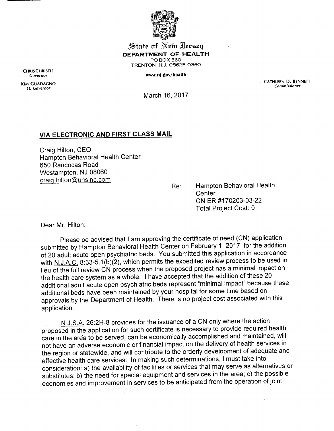

State of New Jersey *DEPARTMENT OF HEALTH* POBOX360 TRENTON, N.J. 08625-0360

## www.nj.gov/health

*CATHLEEN D. BENNETT Commissioner*

March 16, 2017

## *VIA ELECTRONIC AND FIRST CLASS MAIL*

Craig Hilton, CEO Hampton Behavioral Health Center 650 Rancocas Road Westampton, NJ 08060 craiq.hilton@uhsinc.com

Re: Hampton Behavioral Health **Center** CNER #170203-03-22 Total Project Cost: 0

Dear Mr. Hilton:

Please be advised that I am approving the certificate of need (CN) application submitted by Hampton Behavioral Health Center on February 1, 2017, for the addition of 20 adult acute open psychiatric beds. You submitted this application in accordance with N.J.A.C. 8:33-5.1(b)(2), which permits the expedited review process to be used in lieu ofthe full review CN process when the proposed project has a minimal impact on the health care system as a whole. Ihave accepted that the addition of these 20 additional adult acute open psychiatric beds represent "minimal impact" because these additional beds have been maintained by your hospital for some time based on approvals by the Department of Health. There is no project cost associated with this application.

N.J.S.A. 26:2H-8 provides for the issuance of a CN only where the action proposed in the application for such certificate is necessary to provide required health care in the area to be served, can be economically accomplished and maintained, will not have an adverse economic or financial impact on the delivery of health services in the region or statewide, and will contribute to the orderly development of adequate and effective health care services. In making such determinations, Imust take into consideration: a) the availability of facilities or services that may serve as alternatives or substitutes; b) the need for special equipment and services in the area; c) the possible economies and improvement in services to be anticipated from the operation of joint

*CHRISCHRISTIE Governor*

*KIM GUADAGNO Lt. Governor*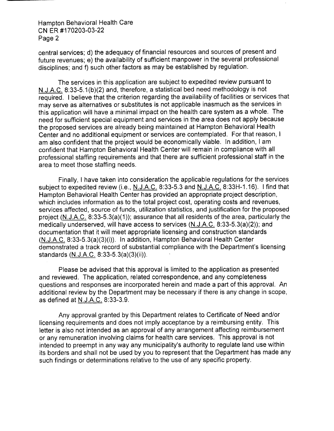Hampton Behavioral Health Care CN ER #170203-03-22 Page 2

central services; d) the adequacy of financial resources and sources of present and future revenues; e) the availability of sufficient manpower in the several professional disciplines; and f) such other factors as may be established by regulation.

The services in this application are subject to expedited review pursuant to N.J.A.C. 8:33-5.1 (b)(2) and, therefore, a statistical bed need methodology is not required. I believe that the criterion regarding the availability of facilities or services that may serve as alternatives or substitutes is not applicable inasmuch as the services in this application will have a minimal impact on the health care system as a whole. The need for sufficient special equipment and services in the area does not apply because the proposed services are already being maintained at Hampton Behavioral Health Center and no additional equipment or services are contemplated. For that reason, I am also confident that the project would be economically viable. In addition, I am confident that Hampton Behavioral Health Center will remain in compliance with all professional staffing requirements and that there are sufficient professional staff in the area to meet those staffing needs.

Finally, I have taken into consideration the applicable regulations for the services subject to expedited review (i.e., N.J.A.C. 8:33-5.3 and N.J.A.C. 8:33H-1.16). I find that Hampton Behavioral Health Center has provided an appropriate project description, which includes information as to the total project cost, operating costs and revenues, services affected, source of funds, utilization statistics, and justification for the proposed project (N.J.A.C. 8:33-5.3(a)(1)); assurance that all residents of the area, particularly the medically underserved, will have access to services (N.J.A.C. 8:33-5.3(a)(2)); and documentation that it will meet appropriate licensing and construction standards (N.J.A.C. 8:33-5.3(a)(3)(i)). In addition, Hampton Behavioral Health Center demonstrated a track record of substantial compliance with the Department's licensing standards (N.J.A.C. 8:33-5.3(a)(3)(ii)).

Please be advised that this approval is limited to the application as presented and reviewed. The application, related correspondence, and any completeness questions and responses are incorporated herein and made a part of this approval. An additional review by the Department may be necessary if there is any change in scope, as defined at N.J.A.C. 8:33-3.9.

Any approval granted by this Department relates to Certificate of Need and/or licensing requirements and does not imply acceptance by a reimbursing entity. This letter is also not intended as an approval of any arrangement affecting reimbursement or any remuneration involving claims for health care services. This approval is not intended to preempt in any way any municipality's authority to regulate land use within its borders and shall not be used by you to represent that the Department has made any such findings or determinations relative to the use of any specific property.